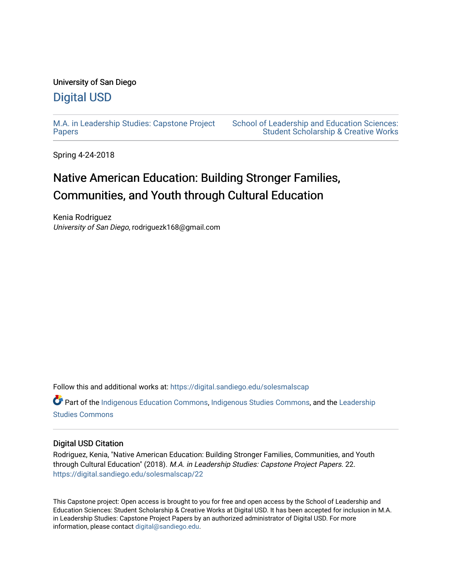# University of San Diego [Digital USD](https://digital.sandiego.edu/)

[M.A. in Leadership Studies: Capstone Project](https://digital.sandiego.edu/solesmalscap) [Papers](https://digital.sandiego.edu/solesmalscap)

[School of Leadership and Education Sciences:](https://digital.sandiego.edu/soles-student)  [Student Scholarship & Creative Works](https://digital.sandiego.edu/soles-student) 

Spring 4-24-2018

# Native American Education: Building Stronger Families, Communities, and Youth through Cultural Education

Kenia Rodriguez University of San Diego, rodriguezk168@gmail.com

Follow this and additional works at: [https://digital.sandiego.edu/solesmalscap](https://digital.sandiego.edu/solesmalscap?utm_source=digital.sandiego.edu%2Fsolesmalscap%2F22&utm_medium=PDF&utm_campaign=PDFCoverPages) 

Part of the [Indigenous Education Commons,](http://network.bepress.com/hgg/discipline/1379?utm_source=digital.sandiego.edu%2Fsolesmalscap%2F22&utm_medium=PDF&utm_campaign=PDFCoverPages) [Indigenous Studies Commons,](http://network.bepress.com/hgg/discipline/571?utm_source=digital.sandiego.edu%2Fsolesmalscap%2F22&utm_medium=PDF&utm_campaign=PDFCoverPages) and the [Leadership](http://network.bepress.com/hgg/discipline/1250?utm_source=digital.sandiego.edu%2Fsolesmalscap%2F22&utm_medium=PDF&utm_campaign=PDFCoverPages)  [Studies Commons](http://network.bepress.com/hgg/discipline/1250?utm_source=digital.sandiego.edu%2Fsolesmalscap%2F22&utm_medium=PDF&utm_campaign=PDFCoverPages) 

### Digital USD Citation

Rodriguez, Kenia, "Native American Education: Building Stronger Families, Communities, and Youth through Cultural Education" (2018). M.A. in Leadership Studies: Capstone Project Papers. 22. [https://digital.sandiego.edu/solesmalscap/22](https://digital.sandiego.edu/solesmalscap/22?utm_source=digital.sandiego.edu%2Fsolesmalscap%2F22&utm_medium=PDF&utm_campaign=PDFCoverPages)

This Capstone project: Open access is brought to you for free and open access by the School of Leadership and Education Sciences: Student Scholarship & Creative Works at Digital USD. It has been accepted for inclusion in M.A. in Leadership Studies: Capstone Project Papers by an authorized administrator of Digital USD. For more information, please contact [digital@sandiego.edu.](mailto:digital@sandiego.edu)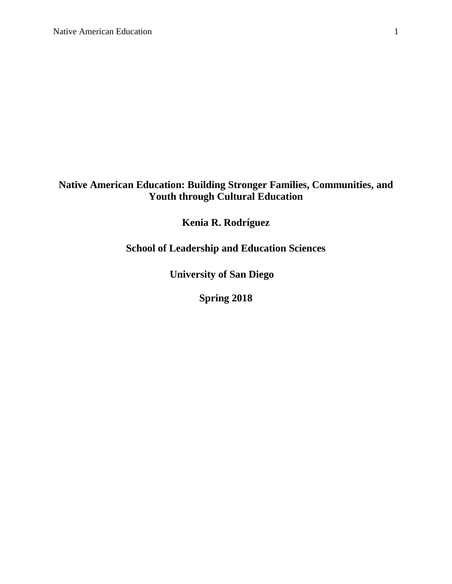# **Native American Education: Building Stronger Families, Communities, and Youth through Cultural Education**

**Kenia R. Rodríguez**

**School of Leadership and Education Sciences**

 **University of San Diego**

**Spring 2018**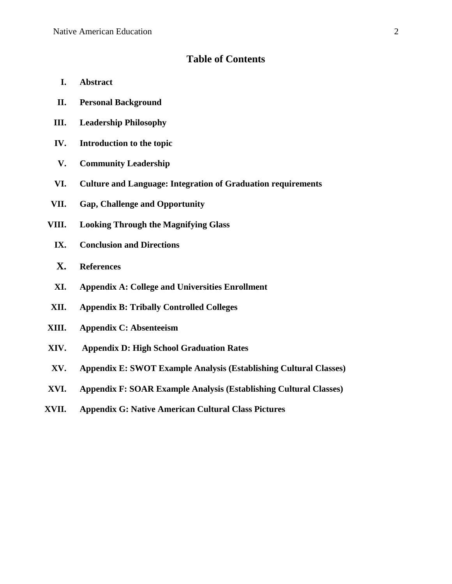### **Table of Contents**

- **I. Abstract**
- **II. Personal Background**
- **III. Leadership Philosophy**
- **IV. Introduction to the topic**
- **V. Community Leadership**
- **VI. Culture and Language: Integration of Graduation requirements**
- **VII. Gap, Challenge and Opportunity**
- **VIII. Looking Through the Magnifying Glass**
	- **IX. Conclusion and Directions**
	- **X. References**
	- **XI. Appendix A: College and Universities Enrollment**
- **XII. Appendix B: Tribally Controlled Colleges**
- **XIII. Appendix C: Absenteeism**
- **XIV. Appendix D: High School Graduation Rates**
- **XV. Appendix E: SWOT Example Analysis (Establishing Cultural Classes)**
- **XVI. Appendix F: SOAR Example Analysis (Establishing Cultural Classes)**
- **XVII. Appendix G: Native American Cultural Class Pictures**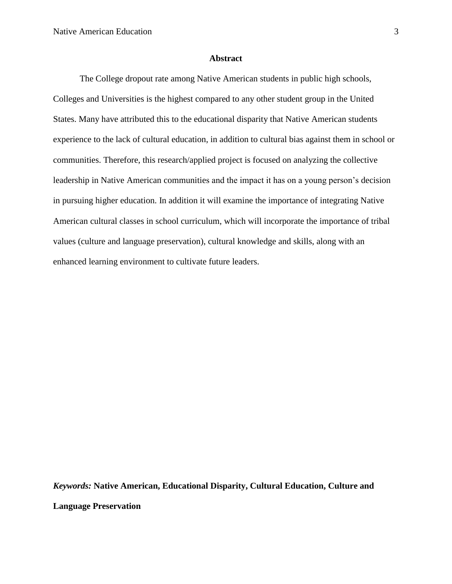#### **Abstract**

The College dropout rate among Native American students in public high schools, Colleges and Universities is the highest compared to any other student group in the United States. Many have attributed this to the educational disparity that Native American students experience to the lack of cultural education, in addition to cultural bias against them in school or communities. Therefore, this research/applied project is focused on analyzing the collective leadership in Native American communities and the impact it has on a young person's decision in pursuing higher education. In addition it will examine the importance of integrating Native American cultural classes in school curriculum, which will incorporate the importance of tribal values (culture and language preservation), cultural knowledge and skills, along with an enhanced learning environment to cultivate future leaders.

*Keywords:* **Native American, Educational Disparity, Cultural Education, Culture and Language Preservation**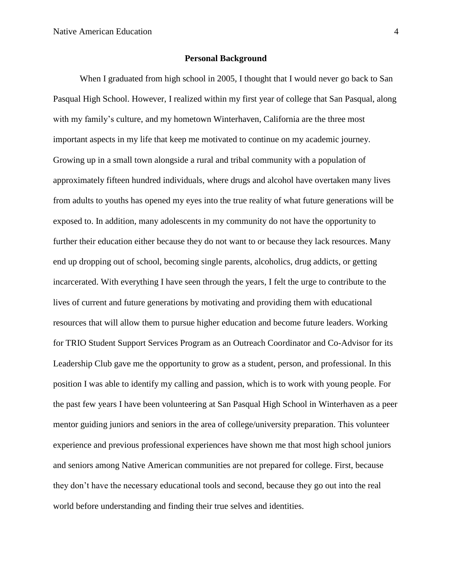#### **Personal Background**

When I graduated from high school in 2005, I thought that I would never go back to San Pasqual High School. However, I realized within my first year of college that San Pasqual, along with my family's culture, and my hometown Winterhaven, California are the three most important aspects in my life that keep me motivated to continue on my academic journey. Growing up in a small town alongside a rural and tribal community with a population of approximately fifteen hundred individuals, where drugs and alcohol have overtaken many lives from adults to youths has opened my eyes into the true reality of what future generations will be exposed to. In addition, many adolescents in my community do not have the opportunity to further their education either because they do not want to or because they lack resources. Many end up dropping out of school, becoming single parents, alcoholics, drug addicts, or getting incarcerated. With everything I have seen through the years, I felt the urge to contribute to the lives of current and future generations by motivating and providing them with educational resources that will allow them to pursue higher education and become future leaders. Working for TRIO Student Support Services Program as an Outreach Coordinator and Co-Advisor for its Leadership Club gave me the opportunity to grow as a student, person, and professional. In this position I was able to identify my calling and passion, which is to work with young people. For the past few years I have been volunteering at San Pasqual High School in Winterhaven as a peer mentor guiding juniors and seniors in the area of college/university preparation. This volunteer experience and previous professional experiences have shown me that most high school juniors and seniors among Native American communities are not prepared for college. First, because they don't have the necessary educational tools and second, because they go out into the real world before understanding and finding their true selves and identities.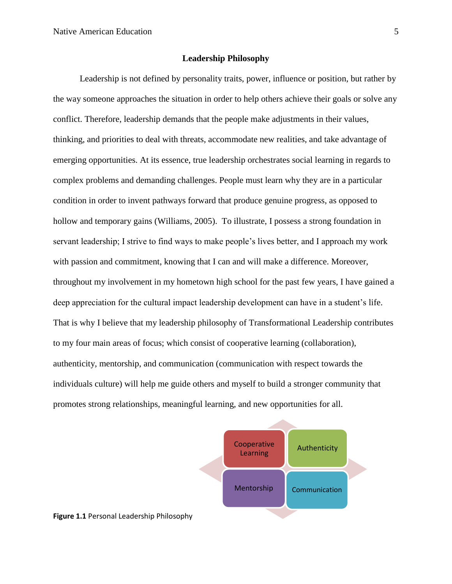### **Leadership Philosophy**

Leadership is not defined by personality traits, power, influence or position, but rather by the way someone approaches the situation in order to help others achieve their goals or solve any conflict. Therefore, leadership demands that the people make adjustments in their values, thinking, and priorities to deal with threats, accommodate new realities, and take advantage of emerging opportunities. At its essence, true leadership orchestrates social learning in regards to complex problems and demanding challenges. People must learn why they are in a particular condition in order to invent pathways forward that produce genuine progress, as opposed to hollow and temporary gains (Williams, 2005). To illustrate, I possess a strong foundation in servant leadership; I strive to find ways to make people's lives better, and I approach my work with passion and commitment, knowing that I can and will make a difference. Moreover, throughout my involvement in my hometown high school for the past few years, I have gained a deep appreciation for the cultural impact leadership development can have in a student's life. That is why I believe that my leadership philosophy of Transformational Leadership contributes to my four main areas of focus; which consist of cooperative learning (collaboration), authenticity, mentorship, and communication (communication with respect towards the individuals culture) will help me guide others and myself to build a stronger community that promotes strong relationships, meaningful learning, and new opportunities for all.



**Figure 1.1** Personal Leadership Philosophy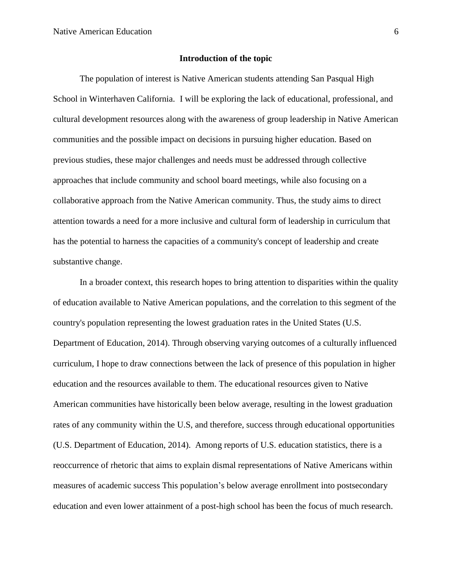### **Introduction of the topic**

The population of interest is Native American students attending San Pasqual High School in Winterhaven California. I will be exploring the lack of educational, professional, and cultural development resources along with the awareness of group leadership in Native American communities and the possible impact on decisions in pursuing higher education. Based on previous studies, these major challenges and needs must be addressed through collective approaches that include community and school board meetings, while also focusing on a collaborative approach from the Native American community. Thus, the study aims to direct attention towards a need for a more inclusive and cultural form of leadership in curriculum that has the potential to harness the capacities of a community's concept of leadership and create substantive change.

In a broader context, this research hopes to bring attention to disparities within the quality of education available to Native American populations, and the correlation to this segment of the country's population representing the lowest graduation rates in the United States (U.S. Department of Education, 2014). Through observing varying outcomes of a culturally influenced curriculum, I hope to draw connections between the lack of presence of this population in higher education and the resources available to them. The educational resources given to Native American communities have historically been below average, resulting in the lowest graduation rates of any community within the U.S, and therefore, success through educational opportunities (U.S. Department of Education, 2014). Among reports of U.S. education statistics, there is a reoccurrence of rhetoric that aims to explain dismal representations of Native Americans within measures of academic success This population's below average enrollment into postsecondary education and even lower attainment of a post-high school has been the focus of much research.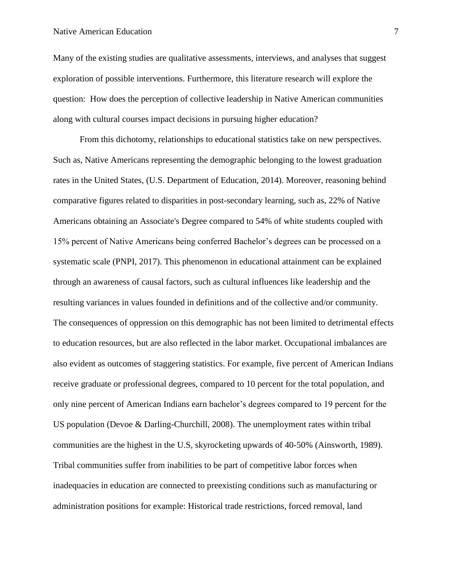Many of the existing studies are qualitative assessments, interviews, and analyses that suggest exploration of possible interventions. Furthermore, this literature research will explore the question: How does the perception of collective leadership in Native American communities along with cultural courses impact decisions in pursuing higher education?

From this dichotomy, relationships to educational statistics take on new perspectives. Such as, Native Americans representing the demographic belonging to the lowest graduation rates in the United States, (U.S. Department of Education, 2014). Moreover, reasoning behind comparative figures related to disparities in post-secondary learning, such as, 22% of Native Americans obtaining an Associate's Degree compared to 54% of white students coupled with 15% percent of Native Americans being conferred Bachelor's degrees can be processed on a systematic scale (PNPI, 2017). This phenomenon in educational attainment can be explained through an awareness of causal factors, such as cultural influences like leadership and the resulting variances in values founded in definitions and of the collective and/or community. The consequences of oppression on this demographic has not been limited to detrimental effects to education resources, but are also reflected in the labor market. Occupational imbalances are also evident as outcomes of staggering statistics. For example, five percent of American Indians receive graduate or professional degrees, compared to 10 percent for the total population, and only nine percent of American Indians earn bachelor's degrees compared to 19 percent for the US population (Devoe & Darling-Churchill, 2008). The unemployment rates within tribal communities are the highest in the U.S, skyrocketing upwards of 40-50% (Ainsworth, 1989). Tribal communities suffer from inabilities to be part of competitive labor forces when inadequacies in education are connected to preexisting conditions such as manufacturing or administration positions for example: Historical trade restrictions, forced removal, land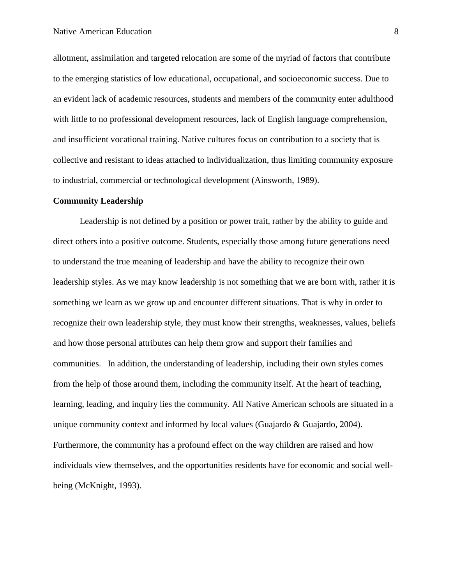allotment, assimilation and targeted relocation are some of the myriad of factors that contribute to the emerging statistics of low educational, occupational, and socioeconomic success. Due to an evident lack of academic resources, students and members of the community enter adulthood with little to no professional development resources, lack of English language comprehension, and insufficient vocational training. Native cultures focus on contribution to a society that is collective and resistant to ideas attached to individualization, thus limiting community exposure to industrial, commercial or technological development (Ainsworth, 1989).

#### **Community Leadership**

Leadership is not defined by a position or power trait, rather by the ability to guide and direct others into a positive outcome. Students, especially those among future generations need to understand the true meaning of leadership and have the ability to recognize their own leadership styles. As we may know leadership is not something that we are born with, rather it is something we learn as we grow up and encounter different situations. That is why in order to recognize their own leadership style, they must know their strengths, weaknesses, values, beliefs and how those personal attributes can help them grow and support their families and communities. In addition, the understanding of leadership, including their own styles comes from the help of those around them, including the community itself. At the heart of teaching, learning, leading, and inquiry lies the community. All Native American schools are situated in a unique community context and informed by local values (Guajardo & Guajardo, 2004). Furthermore, the community has a profound effect on the way children are raised and how individuals view themselves, and the opportunities residents have for economic and social wellbeing (McKnight, 1993).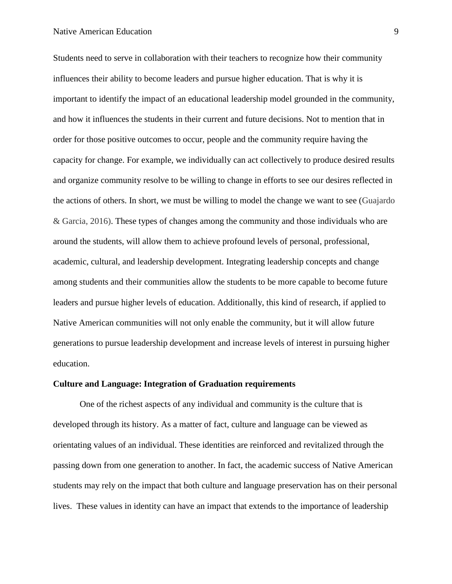Students need to serve in collaboration with their teachers to recognize how their community influences their ability to become leaders and pursue higher education. That is why it is important to identify the impact of an educational leadership model grounded in the community, and how it influences the students in their current and future decisions. Not to mention that in order for those positive outcomes to occur, people and the community require having the capacity for change. For example, we individually can act collectively to produce desired results and organize community resolve to be willing to change in efforts to see our desires reflected in the actions of others. In short, we must be willing to model the change we want to see (Guajardo & Garcia, 2016). These types of changes among the community and those individuals who are around the students, will allow them to achieve profound levels of personal, professional, academic, cultural, and leadership development. Integrating leadership concepts and change among students and their communities allow the students to be more capable to become future leaders and pursue higher levels of education. Additionally, this kind of research, if applied to Native American communities will not only enable the community, but it will allow future generations to pursue leadership development and increase levels of interest in pursuing higher education.

#### **Culture and Language: Integration of Graduation requirements**

One of the richest aspects of any individual and community is the culture that is developed through its history. As a matter of fact, culture and language can be viewed as orientating values of an individual. These identities are reinforced and revitalized through the passing down from one generation to another. In fact, the academic success of Native American students may rely on the impact that both culture and language preservation has on their personal lives. These values in identity can have an impact that extends to the importance of leadership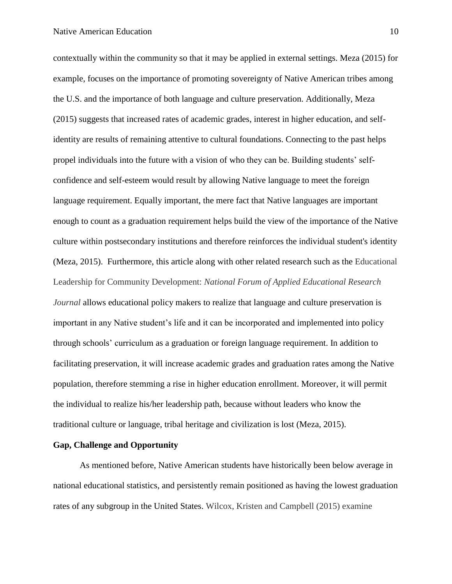contextually within the community so that it may be applied in external settings. Meza (2015) for example, focuses on the importance of promoting sovereignty of Native American tribes among the U.S. and the importance of both language and culture preservation. Additionally, Meza (2015) suggests that increased rates of academic grades, interest in higher education, and selfidentity are results of remaining attentive to cultural foundations. Connecting to the past helps propel individuals into the future with a vision of who they can be. Building students' selfconfidence and self-esteem would result by allowing Native language to meet the foreign language requirement. Equally important, the mere fact that Native languages are important enough to count as a graduation requirement helps build the view of the importance of the Native culture within postsecondary institutions and therefore reinforces the individual student's identity (Meza, 2015). Furthermore, this article along with other related research such as the Educational Leadership for Community Development: *National Forum of Applied Educational Research Journal* allows educational policy makers to realize that language and culture preservation is important in any Native student's life and it can be incorporated and implemented into policy through schools' curriculum as a graduation or foreign language requirement. In addition to facilitating preservation, it will increase academic grades and graduation rates among the Native population, therefore stemming a rise in higher education enrollment. Moreover, it will permit the individual to realize his/her leadership path, because without leaders who know the traditional culture or language, tribal heritage and civilization is lost (Meza, 2015).

### **Gap, Challenge and Opportunity**

As mentioned before, Native American students have historically been below average in national educational statistics, and persistently remain positioned as having the lowest graduation rates of any subgroup in the United States. Wilcox, Kristen and Campbell (2015) examine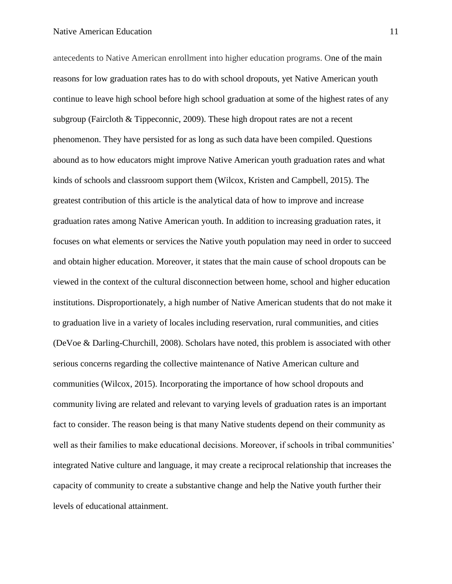antecedents to Native American enrollment into higher education programs. One of the main reasons for low graduation rates has to do with school dropouts, yet Native American youth continue to leave high school before high school graduation at some of the highest rates of any subgroup (Faircloth & Tippeconnic, 2009). These high dropout rates are not a recent phenomenon. They have persisted for as long as such data have been compiled. Questions abound as to how educators might improve Native American youth graduation rates and what kinds of schools and classroom support them (Wilcox, Kristen and Campbell, 2015). The greatest contribution of this article is the analytical data of how to improve and increase graduation rates among Native American youth. In addition to increasing graduation rates, it focuses on what elements or services the Native youth population may need in order to succeed and obtain higher education. Moreover, it states that the main cause of school dropouts can be viewed in the context of the cultural disconnection between home, school and higher education institutions. Disproportionately, a high number of Native American students that do not make it to graduation live in a variety of locales including reservation, rural communities, and cities (DeVoe & Darling-Churchill, 2008). Scholars have noted, this problem is associated with other serious concerns regarding the collective maintenance of Native American culture and communities (Wilcox, 2015). Incorporating the importance of how school dropouts and community living are related and relevant to varying levels of graduation rates is an important fact to consider. The reason being is that many Native students depend on their community as well as their families to make educational decisions. Moreover, if schools in tribal communities' integrated Native culture and language, it may create a reciprocal relationship that increases the capacity of community to create a substantive change and help the Native youth further their levels of educational attainment.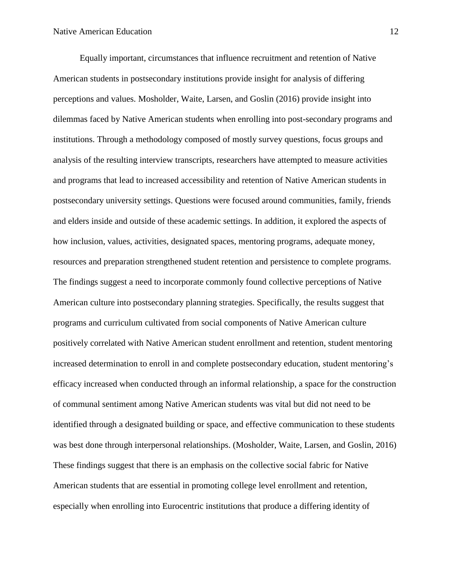Equally important, circumstances that influence recruitment and retention of Native American students in postsecondary institutions provide insight for analysis of differing perceptions and values. Mosholder, Waite, Larsen, and Goslin (2016) provide insight into dilemmas faced by Native American students when enrolling into post-secondary programs and institutions. Through a methodology composed of mostly survey questions, focus groups and analysis of the resulting interview transcripts, researchers have attempted to measure activities and programs that lead to increased accessibility and retention of Native American students in postsecondary university settings. Questions were focused around communities, family, friends and elders inside and outside of these academic settings. In addition, it explored the aspects of how inclusion, values, activities, designated spaces, mentoring programs, adequate money, resources and preparation strengthened student retention and persistence to complete programs. The findings suggest a need to incorporate commonly found collective perceptions of Native American culture into postsecondary planning strategies. Specifically, the results suggest that programs and curriculum cultivated from social components of Native American culture positively correlated with Native American student enrollment and retention, student mentoring increased determination to enroll in and complete postsecondary education, student mentoring's efficacy increased when conducted through an informal relationship, a space for the construction of communal sentiment among Native American students was vital but did not need to be identified through a designated building or space, and effective communication to these students was best done through interpersonal relationships. (Mosholder, Waite, Larsen, and Goslin, 2016) These findings suggest that there is an emphasis on the collective social fabric for Native American students that are essential in promoting college level enrollment and retention, especially when enrolling into Eurocentric institutions that produce a differing identity of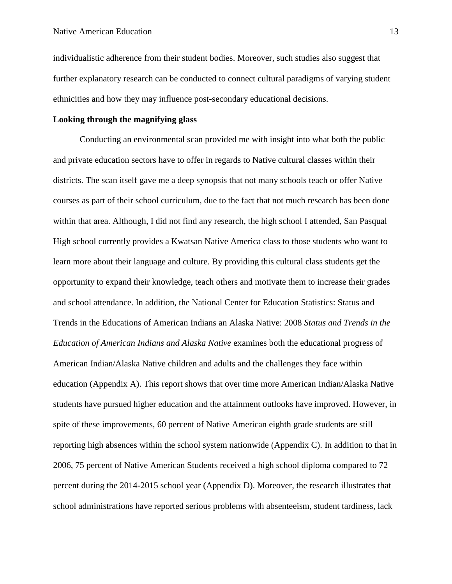individualistic adherence from their student bodies. Moreover, such studies also suggest that further explanatory research can be conducted to connect cultural paradigms of varying student ethnicities and how they may influence post-secondary educational decisions.

### **Looking through the magnifying glass**

Conducting an environmental scan provided me with insight into what both the public and private education sectors have to offer in regards to Native cultural classes within their districts. The scan itself gave me a deep synopsis that not many schools teach or offer Native courses as part of their school curriculum, due to the fact that not much research has been done within that area. Although, I did not find any research, the high school I attended, San Pasqual High school currently provides a Kwatsan Native America class to those students who want to learn more about their language and culture. By providing this cultural class students get the opportunity to expand their knowledge, teach others and motivate them to increase their grades and school attendance. In addition, the National Center for Education Statistics: Status and Trends in the Educations of American Indians an Alaska Native: 2008 *Status and Trends in the Education of American Indians and Alaska Native* examines both the educational progress of American Indian/Alaska Native children and adults and the challenges they face within education (Appendix A). This report shows that over time more American Indian/Alaska Native students have pursued higher education and the attainment outlooks have improved. However, in spite of these improvements, 60 percent of Native American eighth grade students are still reporting high absences within the school system nationwide (Appendix C). In addition to that in 2006, 75 percent of Native American Students received a high school diploma compared to 72 percent during the 2014-2015 school year (Appendix D). Moreover, the research illustrates that school administrations have reported serious problems with absenteeism, student tardiness, lack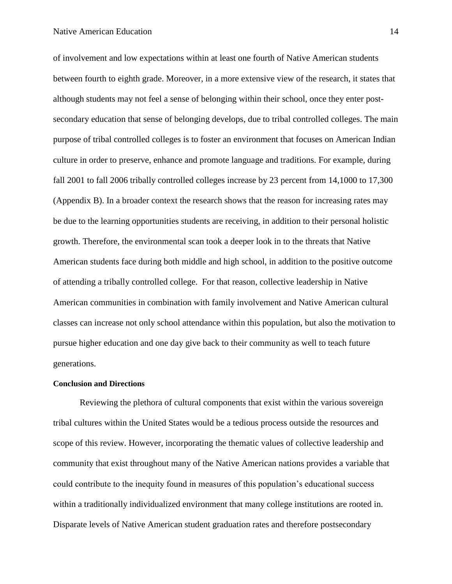of involvement and low expectations within at least one fourth of Native American students between fourth to eighth grade. Moreover, in a more extensive view of the research, it states that although students may not feel a sense of belonging within their school, once they enter postsecondary education that sense of belonging develops, due to tribal controlled colleges. The main purpose of tribal controlled colleges is to foster an environment that focuses on American Indian culture in order to preserve, enhance and promote language and traditions. For example, during fall 2001 to fall 2006 tribally controlled colleges increase by 23 percent from 14,1000 to 17,300 (Appendix B). In a broader context the research shows that the reason for increasing rates may be due to the learning opportunities students are receiving, in addition to their personal holistic growth. Therefore, the environmental scan took a deeper look in to the threats that Native American students face during both middle and high school, in addition to the positive outcome of attending a tribally controlled college. For that reason, collective leadership in Native American communities in combination with family involvement and Native American cultural classes can increase not only school attendance within this population, but also the motivation to pursue higher education and one day give back to their community as well to teach future generations.

### **Conclusion and Directions**

Reviewing the plethora of cultural components that exist within the various sovereign tribal cultures within the United States would be a tedious process outside the resources and scope of this review. However, incorporating the thematic values of collective leadership and community that exist throughout many of the Native American nations provides a variable that could contribute to the inequity found in measures of this population's educational success within a traditionally individualized environment that many college institutions are rooted in. Disparate levels of Native American student graduation rates and therefore postsecondary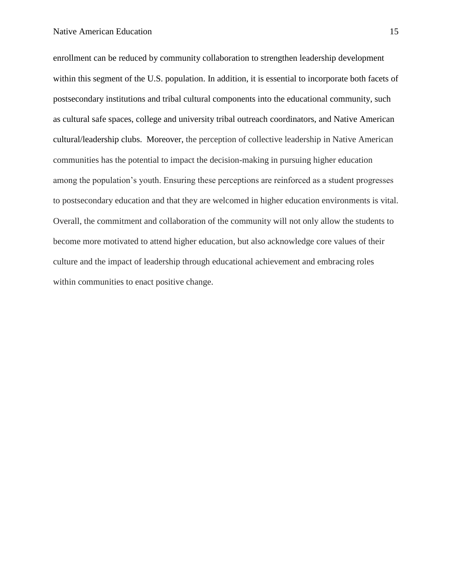enrollment can be reduced by community collaboration to strengthen leadership development within this segment of the U.S. population. In addition, it is essential to incorporate both facets of postsecondary institutions and tribal cultural components into the educational community, such as cultural safe spaces, college and university tribal outreach coordinators, and Native American cultural/leadership clubs. Moreover, the perception of collective leadership in Native American communities has the potential to impact the decision-making in pursuing higher education among the population's youth. Ensuring these perceptions are reinforced as a student progresses to postsecondary education and that they are welcomed in higher education environments is vital. Overall, the commitment and collaboration of the community will not only allow the students to become more motivated to attend higher education, but also acknowledge core values of their culture and the impact of leadership through educational achievement and embracing roles within communities to enact positive change.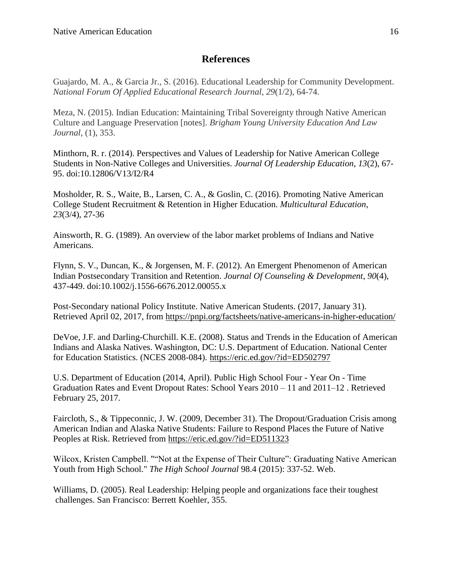### **References**

Guajardo, M. A., & Garcia Jr., S. (2016). Educational Leadership for Community Development. *National Forum Of Applied Educational Research Journal*, *29*(1/2), 64-74.

Meza, N. (2015). Indian Education: Maintaining Tribal Sovereignty through Native American Culture and Language Preservation [notes]. *Brigham Young University Education And Law Journal*, (1), 353.

Minthorn, R. r. (2014). Perspectives and Values of Leadership for Native American College Students in Non-Native Colleges and Universities. *Journal Of Leadership Education*, *13*(2), 67- 95. doi:10.12806/V13/I2/R4

Mosholder, R. S., Waite, B., Larsen, C. A., & Goslin, C. (2016). Promoting Native American College Student Recruitment & Retention in Higher Education. *Multicultural Education*, *23*(3/4), 27-36

Ainsworth, R. G. (1989). An overview of the labor market problems of Indians and Native Americans.

Flynn, S. V., Duncan, K., & Jorgensen, M. F. (2012). An Emergent Phenomenon of American Indian Postsecondary Transition and Retention. *Journal Of Counseling & Development*, *90*(4), 437-449. doi:10.1002/j.1556-6676.2012.00055.x

Post-Secondary national Policy Institute. Native American Students. (2017, January 31). Retrieved April 02, 2017, from <https://pnpi.org/factsheets/native-americans-in-higher-education/>

DeVoe, J.F. and Darling-Churchill. K.E. (2008). Status and Trends in the Education of American Indians and Alaska Natives. Washington, DC: U.S. Department of Education. National Center for Education Statistics. (NCES 2008-084). <https://eric.ed.gov/?id=ED502797>

U.S. Department of Education (2014, April). Public High School Four - Year On - Time Graduation Rates and Event Dropout Rates: School Years 2010 – 11 and 2011–12 . Retrieved February 25, 2017.

Faircloth, S., & Tippeconnic, J. W. (2009, December 31). The Dropout/Graduation Crisis among American Indian and Alaska Native Students: Failure to Respond Places the Future of Native Peoples at Risk. Retrieved from<https://eric.ed.gov/?id=ED511323>

Wilcox, Kristen Campbell. ""Not at the Expense of Their Culture": Graduating Native American Youth from High School." *The High School Journal* 98.4 (2015): 337-52. Web.

Williams, D. (2005). Real Leadership: Helping people and organizations face their toughest challenges. San Francisco: Berrett Koehler, 355.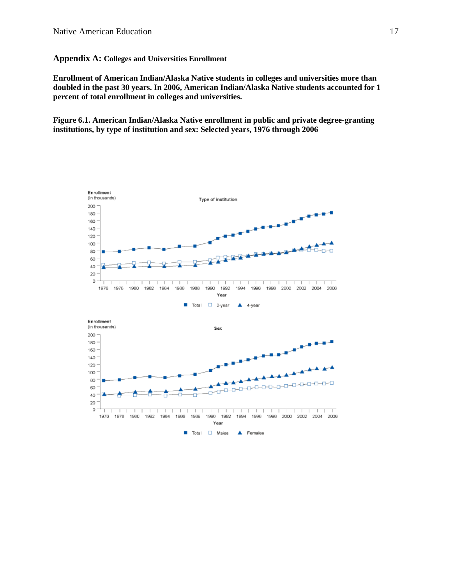### **Appendix A: Colleges and Universities Enrollment**

**Enrollment of American Indian/Alaska Native students in colleges and universities more than doubled in the past 30 years. In 2006, American Indian/Alaska Native students accounted for 1 percent of total enrollment in colleges and universities.**

**Figure 6.1. American Indian/Alaska Native enrollment in public and private degree-granting institutions, by type of institution and sex: Selected years, 1976 through 2006**

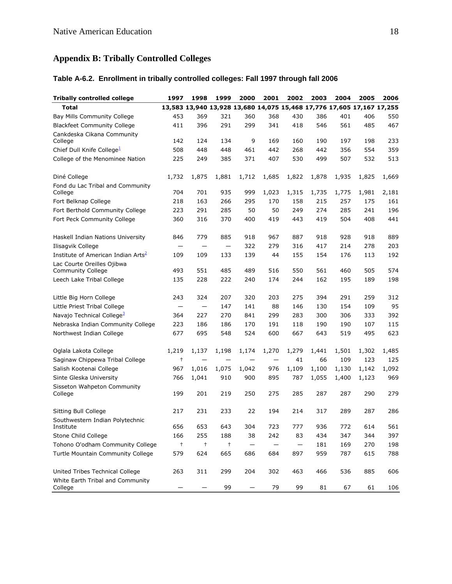# **Appendix B: Tribally Controlled Colleges**

### **Table A-6.2. Enrollment in tribally controlled colleges: Fall 1997 through fall 2006**

| <b>Tribally controlled college</b>              | 1997              | 1998                                                                  | 1999              | 2000  | 2001  | 2002  | 2003  | 2004  | 2005  | 2006  |
|-------------------------------------------------|-------------------|-----------------------------------------------------------------------|-------------------|-------|-------|-------|-------|-------|-------|-------|
| <b>Total</b>                                    |                   | 13,583 13,940 13,928 13,680 14,075 15,468 17,776 17,605 17,167 17,255 |                   |       |       |       |       |       |       |       |
| Bay Mills Community College                     | 453               | 369                                                                   | 321               | 360   | 368   | 430   | 386   | 401   | 406   | 550   |
| <b>Blackfeet Community College</b>              | 411               | 396                                                                   | 291               | 299   | 341   | 418   | 546   | 561   | 485   | 467   |
| Cankdeska Cikana Community<br>College           | 142               | 124                                                                   | 134               | 9     | 169   | 160   | 190   | 197   | 198   | 233   |
| Chief Dull Knife College <sup>1</sup>           | 508               | 448                                                                   | 448               | 461   | 442   | 268   | 442   | 356   | 554   | 359   |
| College of the Menominee Nation                 | 225               | 249                                                                   | 385               | 371   | 407   | 530   | 499   | 507   | 532   | 513   |
| Diné College                                    | 1,732             | 1,875                                                                 | 1,881             | 1,712 | 1,685 | 1,822 | 1,878 | 1,935 | 1,825 | 1,669 |
| Fond du Lac Tribal and Community<br>College     | 704               | 701                                                                   | 935               | 999   | 1,023 | 1,315 | 1,735 | 1,775 | 1,981 | 2,181 |
| Fort Belknap College                            | 218               | 163                                                                   | 266               | 295   | 170   | 158   | 215   | 257   | 175   | 161   |
| Fort Berthold Community College                 | 223               | 291                                                                   | 285               | 50    | 50    | 249   | 274   | 285   | 241   | 196   |
| Fort Peck Community College                     | 360               | 316                                                                   | 370               | 400   | 419   | 443   | 419   | 504   | 408   | 441   |
| Haskell Indian Nations University               | 846               | 779                                                                   | 885               | 918   | 967   | 887   | 918   | 928   | 918   | 889   |
| Ilisaqvik College                               | $\qquad \qquad$   | $\overline{\phantom{m}}$                                              | $\qquad \qquad -$ | 322   | 279   | 316   | 417   | 214   | 278   | 203   |
| Institute of American Indian Arts <sup>2</sup>  | 109               | 109                                                                   | 133               | 139   | 44    | 155   | 154   | 176   | 113   | 192   |
| Lac Courte Oreilles Ojibwa<br>Community College | 493               | 551                                                                   | 485               | 489   | 516   | 550   | 561   | 460   | 505   | 574   |
| Leech Lake Tribal College                       | 135               | 228                                                                   | 222               | 240   | 174   | 244   | 162   | 195   | 189   | 198   |
| Little Big Horn College                         | 243               | 324                                                                   | 207               | 320   | 203   | 275   | 394   | 291   | 259   | 312   |
| Little Priest Tribal College                    | $\qquad \qquad -$ | $\overline{\phantom{m}}$                                              | 147               | 141   | 88    | 146   | 130   | 154   | 109   | 95    |
| Navajo Technical College <sup>3</sup>           | 364               | 227                                                                   | 270               | 841   | 299   | 283   | 300   | 306   | 333   | 392   |
| Nebraska Indian Community College               | 223               | 186                                                                   | 186               | 170   | 191   | 118   | 190   | 190   | 107   | 115   |
| Northwest Indian College                        | 677               | 695                                                                   | 548               | 524   | 600   | 667   | 643   | 519   | 495   | 623   |
| Oglala Lakota College                           | 1,219             | 1,137                                                                 | 1,198             | 1,174 | 1,270 | 1,279 | 1,441 | 1,501 | 1,302 | 1,485 |
| Saginaw Chippewa Tribal College                 | $^\mathrm{+}$     |                                                                       |                   |       |       | 41    | 66    | 109   | 123   | 125   |
| Salish Kootenai College                         | 967               | 1,016                                                                 | 1,075             | 1,042 | 976   | 1,109 | 1,100 | 1,130 | 1,142 | 1,092 |
| Sinte Gleska University                         | 766               | 1,041                                                                 | 910               | 900   | 895   | 787   | 1,055 | 1,400 | 1,123 | 969   |
| Sisseton Wahpeton Community<br>College          | 199               | 201                                                                   | 219               | 250   | 275   | 285   | 287   | 287   | 290   | 279   |
| Sitting Bull College                            | 217               | 231                                                                   | 233               | 22    | 194   | 214   | 317   | 289   | 287   | 286   |
| Southwestern Indian Polytechnic<br>Institute    | 656               | 653                                                                   | 643               | 304   | 723   | 777   | 936   | 772   | 614   | 561   |
| Stone Child College                             | 166               | 255                                                                   | 188               | 38    | 242   | 83    | 434   | 347   | 344   | 397   |
| Tohono O'odham Community College                | $^\mathrm{+}$     | $^\mathrm{+}$                                                         | $^{+}$            |       |       |       | 181   | 169   | 270   | 198   |
| Turtle Mountain Community College               | 579               | 624                                                                   | 665               | 686   | 684   | 897   | 959   | 787   | 615   | 788   |
| United Tribes Technical College                 | 263               | 311                                                                   | 299               | 204   | 302   | 463   | 466   | 536   | 885   | 606   |
| White Earth Tribal and Community<br>College     |                   |                                                                       | 99                |       | 79    | 99    | 81    | 67    | 61    | 106   |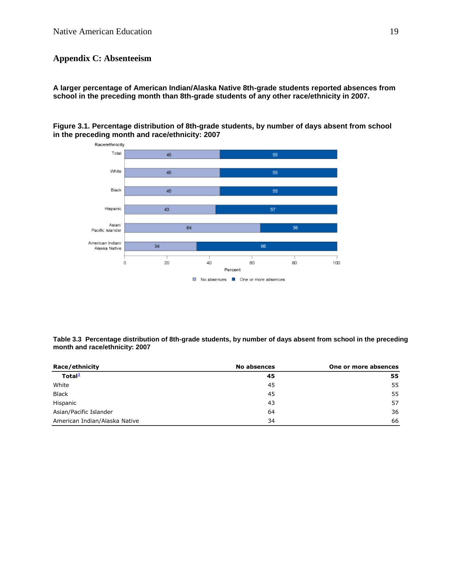### **Appendix C: Absenteeism**

**A larger percentage of American Indian/Alaska Native 8th-grade students reported absences from school in the preceding month than 8th-grade students of any other race/ethnicity in 2007.**

**Figure 3.1. Percentage distribution of 8th-grade students, by number of days absent from school in the preceding month and race/ethnicity: 2007**



**Table 3.3 Percentage distribution of 8th-grade students, by number of days absent from school in the preceding month and race/ethnicity: 2007**

| Race/ethnicity                | No absences | One or more absences |  |
|-------------------------------|-------------|----------------------|--|
| Total $\frac{1}{2}$           | 45          | 55                   |  |
| White                         | 45          | 55                   |  |
| <b>Black</b>                  | 45          | 55                   |  |
| Hispanic                      | 43          | 57                   |  |
| Asian/Pacific Islander        | 64          | 36                   |  |
| American Indian/Alaska Native | 34          | 66                   |  |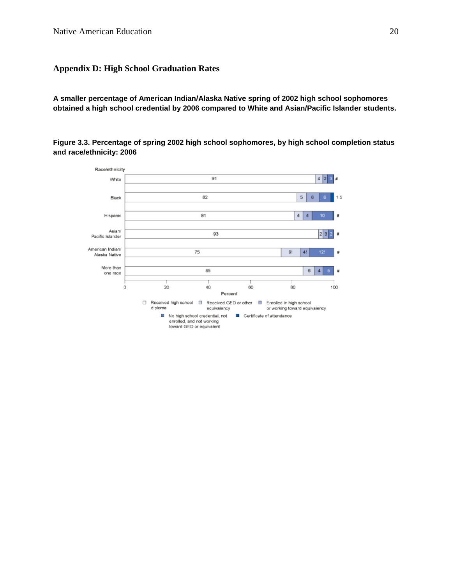### **Appendix D: High School Graduation Rates**

**A smaller percentage of American Indian/Alaska Native spring of 2002 high school sophomores obtained a high school credential by 2006 compared to White and Asian/Pacific Islander students.**

**Figure 3.3. Percentage of spring 2002 high school sophomores, by high school completion status and race/ethnicity: 2006**

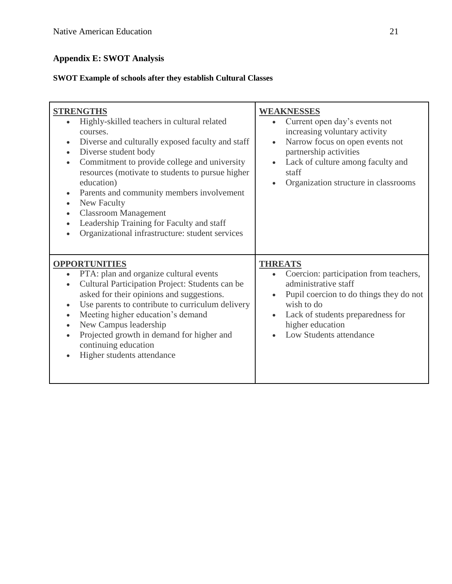# **Appendix E: SWOT Analysis**

### **SWOT Example of schools after they establish Cultural Classes**

| <b>STRENGTHS</b><br>Highly-skilled teachers in cultural related<br>$\bullet$<br>courses.<br>Diverse and culturally exposed faculty and staff<br>$\bullet$<br>Diverse student body<br>$\bullet$<br>Commitment to provide college and university<br>$\bullet$<br>resources (motivate to students to pursue higher<br>education)<br>Parents and community members involvement<br>$\bullet$<br>New Faculty<br>$\bullet$<br><b>Classroom Management</b><br>$\bullet$<br>Leadership Training for Faculty and staff<br>Organizational infrastructure: student services | <b>WEAKNESSES</b><br>Current open day's events not<br>$\bullet$<br>increasing voluntary activity<br>Narrow focus on open events not<br>$\bullet$<br>partnership activities<br>Lack of culture among faculty and<br>$\bullet$<br>staff<br>Organization structure in classrooms<br>$\bullet$ |
|-----------------------------------------------------------------------------------------------------------------------------------------------------------------------------------------------------------------------------------------------------------------------------------------------------------------------------------------------------------------------------------------------------------------------------------------------------------------------------------------------------------------------------------------------------------------|--------------------------------------------------------------------------------------------------------------------------------------------------------------------------------------------------------------------------------------------------------------------------------------------|
| <b>OPPORTUNITIES</b><br>PTA: plan and organize cultural events<br>$\bullet$<br>Cultural Participation Project: Students can be<br>asked for their opinions and suggestions.<br>Use parents to contribute to curriculum delivery<br>$\bullet$<br>Meeting higher education's demand<br>$\bullet$<br>New Campus leadership<br>$\bullet$<br>Projected growth in demand for higher and<br>continuing education<br>Higher students attendance                                                                                                                         | <b>THREATS</b><br>Coercion: participation from teachers,<br>$\bullet$<br>administrative staff<br>Pupil coercion to do things they do not<br>$\bullet$<br>wish to do<br>Lack of students preparedness for<br>$\bullet$<br>higher education<br>Low Students attendance                       |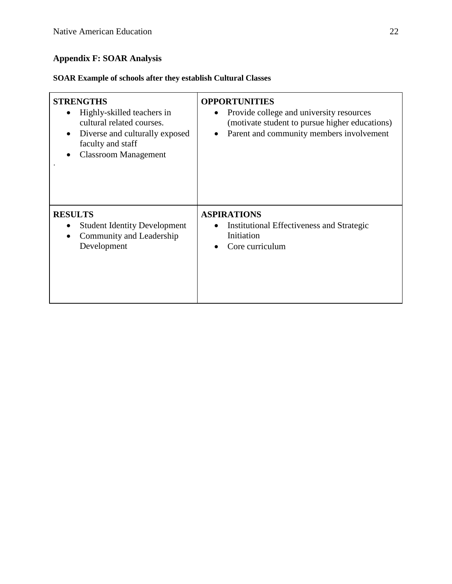# **Appendix F: SOAR Analysis**

### **SOAR Example of schools after they establish Cultural Classes**

| <b>STRENGTHS</b><br>Highly-skilled teachers in<br>cultural related courses.<br>Diverse and culturally exposed<br>$\bullet$<br>faculty and staff<br><b>Classroom Management</b> | <b>OPPORTUNITIES</b><br>Provide college and university resources<br>(motivate student to pursue higher educations)<br>Parent and community members involvement |
|--------------------------------------------------------------------------------------------------------------------------------------------------------------------------------|----------------------------------------------------------------------------------------------------------------------------------------------------------------|
| <b>RESULTS</b><br><b>Student Identity Development</b><br>$\bullet$<br>Community and Leadership<br>$\bullet$<br>Development                                                     | <b>ASPIRATIONS</b><br>Institutional Effectiveness and Strategic<br>Initiation<br>Core curriculum                                                               |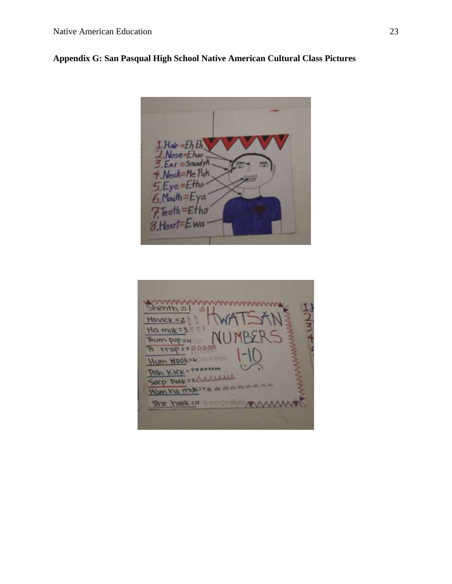## **Appendix G: San Pasqual High School Native American Cultural Class Pictures**

 $Hair = EhEh$  $seE$ hoo  $=$  Smood y  $\hbar$  $H = MeP$ uk va  $h\overline{o}$ 8. Heart

 $\frac{11}{2}$  $Havick = 2$  $H\alpha$  muk = 3 **TOWN DUP =4** ভি  $r \tau \alpha p =$ Hym HOO Dale Kiev 333 Seep Pook Ham ha muk=1m  $STYY100K = 10$